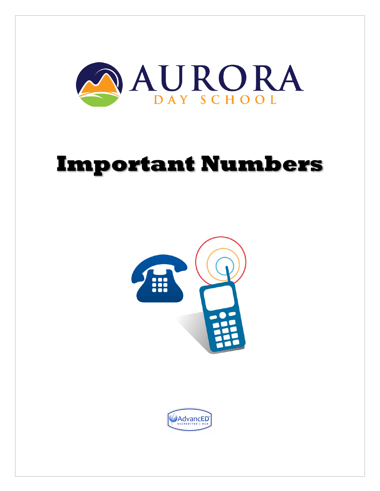

# **Important Numbers**



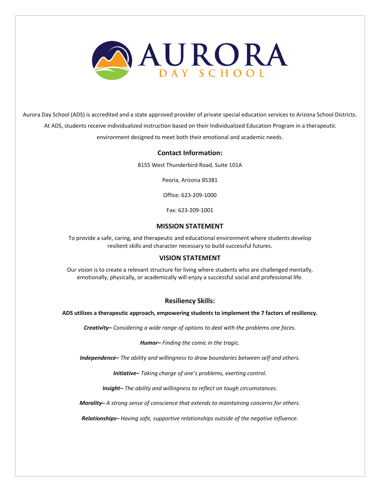

Aurora Day School (ADS) is accredited and a state approved provider of private special education services to Arizona School Districts. At ADS, students receive individualized instruction based on their Individualized Education Program in a therapeutic environment designed to meet both their emotional and academic needs.

#### **Contact Information:**

8155 West Thunderbird Road, Suite 101A

Peoria, Arizona 85381

Office: 623-209-1000

Fax: 623-209-1001

#### **MISSION STATEMENT**

To provide a safe, caring, and therapeutic and educational environment where students develop resilient skills and character necessary to build successful futures.

#### **VISION STATEMENT**

Our vision is to create a relevant structure for living where students who are challenged mentally, emotionally, physically, or academically will enjoy a successful social and professional life.

#### **Resiliency Skills:**

**ADS utilizes a therapeutic approach, empowering students to implement the 7 factors of resiliency.**

*Creativity– Considering a wide range of options to deal with the problems one faces.*

*Humor– Finding the comic in the tragic.*

*Independence– The ability and willingness to draw boundaries between self and others.*

*Initiative– Taking charge of one's problems, exerting control.*

*Insight– The ability and willingness to reflect on tough circumstances.*

*Morality– A strong sense of conscience that extends to maintaining concerns for others.*

*Relationships– Having safe, supportive relationships outside of the negative influence.*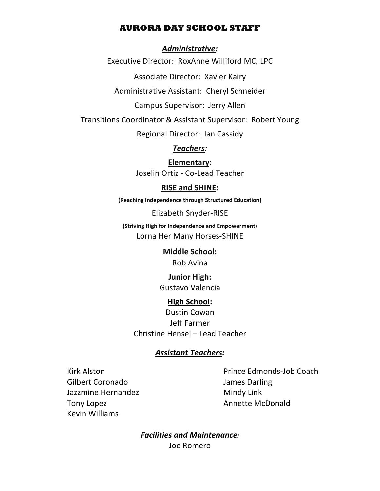## **AURORA DAY SCHOOL STAFF**

## *Administrative:*

Executive Director: RoxAnne Williford MC, LPC

Associate Director: Xavier Kairy

Administrative Assistant: Cheryl Schneider

Campus Supervisor: Jerry Allen

Transitions Coordinator & Assistant Supervisor: Robert Young

Regional Director: Ian Cassidy

*Teachers:* 

**Elementary:** Joselin Ortiz - Co-Lead Teacher

## **RISE and SHINE:**

**(Reaching Independence through Structured Education)**

Elizabeth Snyder-RISE

**(Striving High for Independence and Empowerment)** Lorna Her Many Horses-SHINE

> **Middle School:** Rob Avina

**Junior High:** Gustavo Valencia

## **High School:**

Dustin Cowan Jeff Farmer Christine Hensel – Lead Teacher

## *Assistant Teachers:*

Gilbert Coronado James Darling Jazzmine Hernandez Mindy Link Tony Lopez **Annette McDonald** Kevin Williams

Kirk Alston **Prince Edmonds-Job Coach** 

*Facilities and Maintenance:* Joe Romero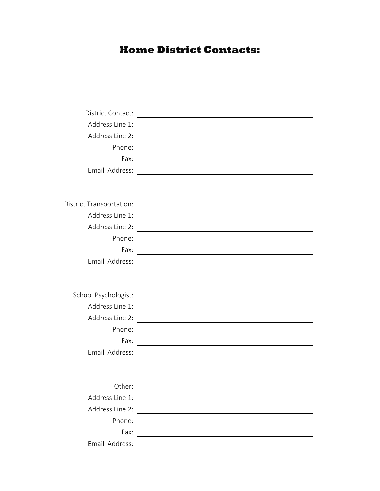## **Home District Contacts:**

| District Contact:               | <u> 1980 - Jan Samuel Barbara, martin di sebagai personal di sebagai personal di sebagai personal di sebagai per</u>  |
|---------------------------------|-----------------------------------------------------------------------------------------------------------------------|
| Address Line 1:                 |                                                                                                                       |
| Address Line 2:                 |                                                                                                                       |
| Phone:                          |                                                                                                                       |
| Fax:                            |                                                                                                                       |
| Email Address:                  | <u> 1989 - Johann Barbara, martxa alemaniar arg</u>                                                                   |
|                                 |                                                                                                                       |
|                                 |                                                                                                                       |
| <b>District Transportation:</b> | <u> 1989 - Johann Stoff, fransk konge og det ble stoffen og det ble stoffen og det ble stoffen og det ble stoffen</u> |
| Address Line 1:                 | <u> 1989 - John Stein, Amerikaansk politiker (</u>                                                                    |
| Address Line 2:                 | <u> 1980 - Johann Barn, fransk politik (f. 1980)</u>                                                                  |
| Phone:                          |                                                                                                                       |
| Fax:                            | <u> 1989 - Johann Barn, mars ann an t-Amhain Aonaichte ann an t-Aonaichte ann an t-Aonaichte ann an t-Aonaichte a</u> |
| Email Address:                  |                                                                                                                       |
|                                 |                                                                                                                       |
|                                 |                                                                                                                       |
| School Psychologist:            |                                                                                                                       |
| Address Line 1:                 |                                                                                                                       |
| Address Line 2:                 |                                                                                                                       |
| Phone:                          |                                                                                                                       |
| Fax:                            |                                                                                                                       |
| Email Address:                  |                                                                                                                       |
|                                 |                                                                                                                       |
|                                 |                                                                                                                       |
| Other:                          |                                                                                                                       |
| Address Line 1:                 |                                                                                                                       |
| Address Line 2:                 | <u> 1980 - Andrea Barbara, poeta esperanto-</u>                                                                       |
| Phone:                          | <u> 1989 - Johann Stein, Amerikaansk kanton (</u>                                                                     |
| Fax:                            |                                                                                                                       |
| Email Address:                  |                                                                                                                       |
|                                 |                                                                                                                       |